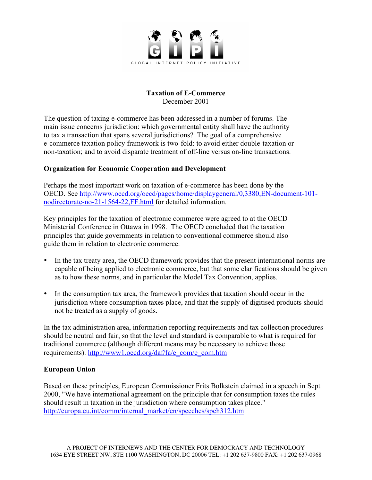

## **Taxation of E-Commerce** December 2001

The question of taxing e-commerce has been addressed in a number of forums. The main issue concerns jurisdiction: which governmental entity shall have the authority to tax a transaction that spans several jurisdictions? The goal of a comprehensive e-commerce taxation policy framework is two-fold: to avoid either double-taxation or non-taxation; and to avoid disparate treatment of off-line versus on-line transactions.

## **Organization for Economic Cooperation and Development**

Perhaps the most important work on taxation of e-commerce has been done by the OECD. See http://www.oecd.org/oecd/pages/home/displaygeneral/0,3380,EN-document-101 nodirectorate-no-21-1564-22,FF.html for detailed information.

Key principles for the taxation of electronic commerce were agreed to at the OECD Ministerial Conference in Ottawa in 1998. The OECD concluded that the taxation principles that guide governments in relation to conventional commerce should also guide them in relation to electronic commerce.

- In the tax treaty area, the OECD framework provides that the present international norms are capable of being applied to electronic commerce, but that some clarifications should be given as to how these norms, and in particular the Model Tax Convention, applies.
- In the consumption tax area, the framework provides that taxation should occur in the jurisdiction where consumption taxes place, and that the supply of digitised products should not be treated as a supply of goods.

In the tax administration area, information reporting requirements and tax collection procedures should be neutral and fair, so that the level and standard is comparable to what is required for traditional commerce (although different means may be necessary to achieve those requirements). http://www1.oecd.org/daf/fa/e\_com/e\_com.htm

## **European Union**

Based on these principles, European Commissioner Frits Bolkstein claimed in a speech in Sept 2000, "We have international agreement on the principle that for consumption taxes the rules should result in taxation in the jurisdiction where consumption takes place." http://europa.eu.int/comm/internal\_market/en/speeches/spch312.htm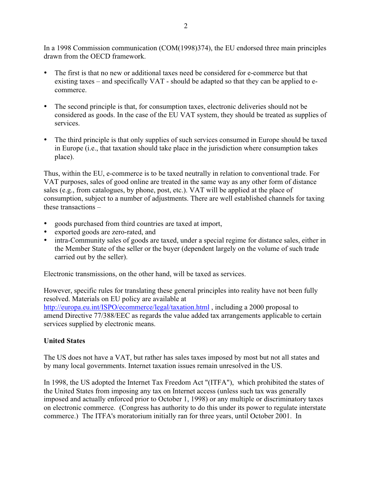In a 1998 Commission communication (COM(1998)374), the EU endorsed three main principles drawn from the OECD framework.

- The first is that no new or additional taxes need be considered for e-commerce but that existing taxes – and specifically VAT - should be adapted so that they can be applied to ecommerce.
- The second principle is that, for consumption taxes, electronic deliveries should not be considered as goods. In the case of the EU VAT system, they should be treated as supplies of services.
- The third principle is that only supplies of such services consumed in Europe should be taxed in Europe (i.e., that taxation should take place in the jurisdiction where consumption takes place).

Thus, within the EU, e-commerce is to be taxed neutrally in relation to conventional trade. For VAT purposes, sales of good online are treated in the same way as any other form of distance sales (e.g., from catalogues, by phone, post, etc.). VAT will be applied at the place of consumption, subject to a number of adjustments. There are well established channels for taxing these transactions –

- goods purchased from third countries are taxed at import,
- exported goods are zero-rated, and
- intra-Community sales of goods are taxed, under a special regime for distance sales, either in the Member State of the seller or the buyer (dependent largely on the volume of such trade carried out by the seller).

Electronic transmissions, on the other hand, will be taxed as services.

However, specific rules for translating these general principles into reality have not been fully resolved. Materials on EU policy are available at http://europa.eu.int/ISPO/ecommerce/legal/taxation.html , including a 2000 proposal to amend Directive 77/388/EEC as regards the value added tax arrangements applicable to certain services supplied by electronic means.

## **United States**

The US does not have a VAT, but rather has sales taxes imposed by most but not all states and by many local governments. Internet taxation issues remain unresolved in the US.

In 1998, the US adopted the Internet Tax Freedom Act "(ITFA"), which prohibited the states of the United States from imposing any tax on Internet access (unless such tax was generally imposed and actually enforced prior to October 1, 1998) or any multiple or discriminatory taxes on electronic commerce. (Congress has authority to do this under its power to regulate interstate commerce.) The ITFA's moratorium initially ran for three years, until October 2001. In